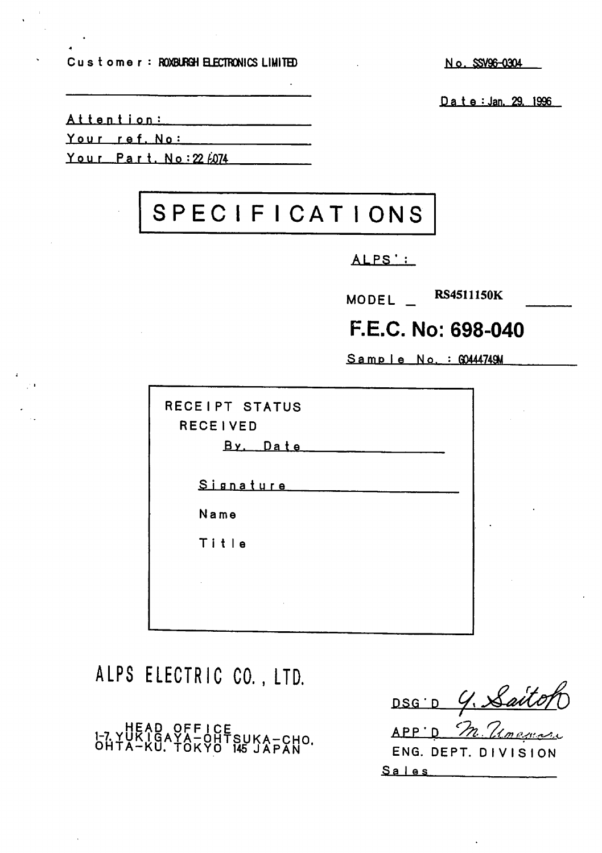Customer: ROXBURGH ELECTRONICS LIMITED No. SSV96-0304

Date : Jan. 29. 1996

Attention:

Your raf. No:

Your Part. No: 22  $6074$ 

# SPEC I F I CAT IONS

ALPS';

MODEL \_ RS4511150K

# F.E.C. No: 698-040

 $Same le No. : Q0444749M$ 

| RECEIPT STATUS<br><b>RECEIVED</b><br>By Date |  |
|----------------------------------------------|--|
| Signature                                    |  |
| Name                                         |  |
| Title                                        |  |
|                                              |  |
|                                              |  |
|                                              |  |

ALPS ELECTRIC CO., LTD.

1-7 HEAD OFFICE<br>1-7 YUKIGAYA-OHTSUKA-CHO.<br>OHTA-KU. TOKYO 145 JAPAN

DSG D G. Saito  $APP'D$   $n$ ENG. DEPT. DIVISION Sales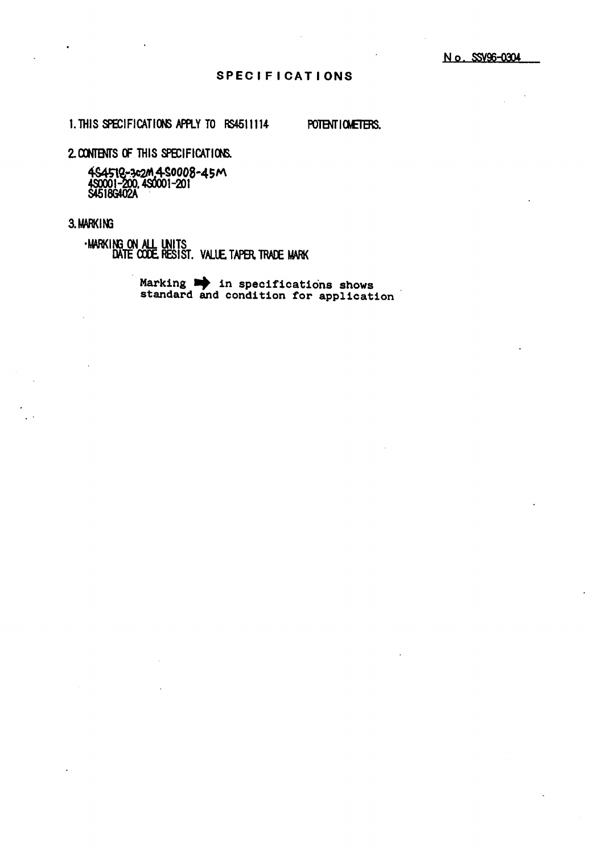#### **SPECIFICATIONS**

1. THIS SPECIFICATIONS APPLY TO RS4511114

POTENT I CMETERS.

2. CONTENTS OF THIS SPECIFICATIONS.

4S4518-3c2M 4S0008-45M<br>4S0001-200, 4S0001-201<br>S4518G402A

#### 3. MARKING

.MARKING ON ALL UNITS<br>DATE CODE RESIST. VALUE TAPER TRADE MARK

Marking  $\Rightarrow$  in specifications shows<br>standard and condition for application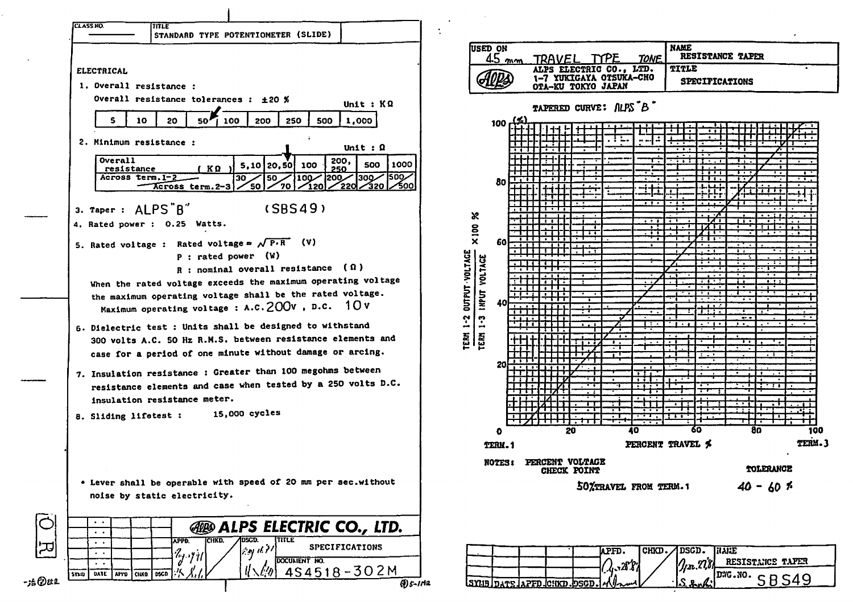

| USED ON<br>$45$ mm                                                                   | <b>NAME</b><br>RESISTANCE TAPER<br>PF<br>TRAVEL<br><b>TONE</b>                                                |        |
|--------------------------------------------------------------------------------------|---------------------------------------------------------------------------------------------------------------|--------|
|                                                                                      | ELECTRIC CO., LTD.<br>TITLE<br><b>ALPS</b><br>1-7 YUKIGAYA OTSUKA-CHO<br>SPECIFICATIONS<br>OTA-KU TOKYO JAPAN |        |
|                                                                                      | TAPERED CURVE: ALPS B                                                                                         |        |
| <u>41</u><br>100                                                                     | ٠<br>÷<br>ニ<br>ī                                                                                              |        |
| 80<br>$\boldsymbol{\kappa}$                                                          | Ŧ<br>T<br>٠.<br>τ<br>Ŧ                                                                                        | т      |
| $\times 100$<br>60<br>ī                                                              | $\blacksquare$<br>т<br>ī<br>τ<br>$\overline{\phantom{a}}$<br>ŧ                                                |        |
| TERM 1-2 OUTPUT-VOLTAGE<br>TERM 1-3 INPUT VOLTAGE<br>$\overline{\bullet}$<br>т<br>40 | ٠<br>. .<br>٠<br>m.                                                                                           |        |
| 20                                                                                   | ī<br>÷<br>T                                                                                                   |        |
| $\bullet$                                                                            | $\cdot$<br>$\overline{\cdot}$<br>60<br>80<br>20<br>40                                                         | 100    |
| TERM.1                                                                               | PERCENT TRAVEL \$                                                                                             | TERM.3 |
| <b>NOTES:</b>                                                                        | PERCENT VOLTAGE<br>CHECK POINT<br>TOLERANCE                                                                   |        |
|                                                                                      | 50XTRAVEL FROM TERM.1<br>$40 - 60$ *                                                                          |        |

|  |  |  | IAPFD.                                              | CHKD. JDSCD. HARE |         |                                                                                                                                                   |
|--|--|--|-----------------------------------------------------|-------------------|---------|---------------------------------------------------------------------------------------------------------------------------------------------------|
|  |  |  | 2.397                                               |                   |         | 72 778 RESISTANCE TAFER                                                                                                                           |
|  |  |  |                                                     |                   |         | $\sim$ $\left[\text{D} \text{MG} \cdot \text{NO} \cdot \text{C} \right]$ $\sim$ $\left[\text{D} \text{MG} \cdot \text{NO} \cdot \text{C} \right]$ |
|  |  |  | $SMB$ $pqq$ $p$ $p$ $p$ $p$ $q$ $p$ $q$ $p$ $q$ $p$ |                   | S, 2, 2 |                                                                                                                                                   |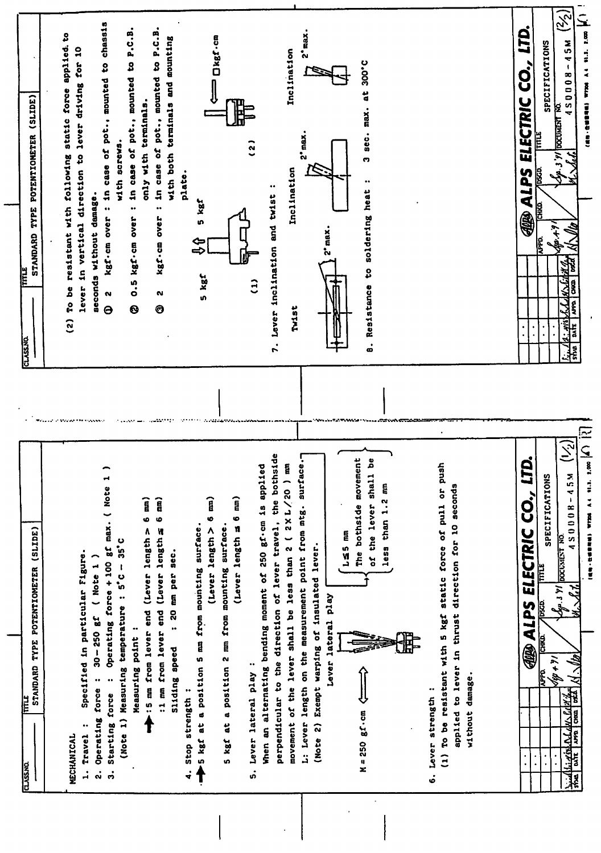| STANDARD TYPE POTENTIOMETER (SLIDE)<br><b>FITTLE</b><br><b>CLASSAD</b>                                                           |                    | (SLINE)<br>POTENTIOMETER<br>TYPE<br>STANDARD<br>Ë<br>CLASSAD                                                |
|----------------------------------------------------------------------------------------------------------------------------------|--------------------|-------------------------------------------------------------------------------------------------------------|
|                                                                                                                                  |                    |                                                                                                             |
| MECHANICAL                                                                                                                       |                    | Ş<br>static force applied.<br>resistant with following<br>To be<br>$\hat{c}$                                |
| Specified in particular Figure.<br>$\ddot{\phantom{0}}$<br>Travel<br>$\mathbf{I}$                                                |                    | lever driving for 10<br>direction to<br>vertical<br>$\mathbf{a}$<br>lever                                   |
| $30 - 250$ gf ( Note 1)<br>$\ddot{\phantom{0}}$<br>Operating force<br>ૢ                                                          | <b>THE FUNNISH</b> | seconds without damage.                                                                                     |
| Operating force + 100 gf max. ( Note 1<br>$\ddot{\cdot}$<br>Starting force<br>$\dot{a}$                                          |                    | chass15<br>in case of pot., mounted to<br>$\ddot{\phantom{0}}$<br>kgf-cm over<br>N<br>$\Theta$              |
| $35^\circ$ C<br>(Note 1) Measuring temperature : 5°C -                                                                           |                    | with screws.                                                                                                |
| $\ddot{\phantom{0}}$<br>Measuring point                                                                                          |                    | <b>P.C.B.</b><br>in case of pot., mounted to<br><br>O.5 kgf.cm over<br>$\bullet$                            |
| 6 mm)<br>:5 mm from lever end (Lever length >                                                                                    |                    | terminals.<br>only with                                                                                     |
| 6 mm)<br>:1 mm from lever end (Lever length a                                                                                    |                    | in case of pot., mounted to P.C.B.<br>$\bullet\bullet$<br>kgf-cm over<br>N<br>❺                             |
| : 20 mm per sec.<br>Sliding speed                                                                                                |                    | with both terminals and mounting                                                                            |
| 4. Stop strength:                                                                                                                |                    | plate.                                                                                                      |
| b5 kgf at a position 5 mm from mounting surface.<br>Ţ                                                                            |                    | 5 kgf<br>�<br>⇔<br>5 kgf                                                                                    |
| Î<br>o<br>(Lever length >                                                                                                        |                    | Dkgf-cm                                                                                                     |
| a position 2 mm from mounting surface.<br>d<br>5 kgf                                                                             |                    |                                                                                                             |
| (Lever length = 6 mm)                                                                                                            |                    |                                                                                                             |
| Lever lateral play:<br>ທ່ີ                                                                                                       |                    | ຼີ<br>$\hat{c}$                                                                                             |
| when an alternating bending moment of 250 gf.cm is applied                                                                       |                    |                                                                                                             |
| perpendicular to the direction of lever travel, the bothside                                                                     |                    | Lever inclination and twist<br>7.                                                                           |
| movement of the lever shall be less than 2 ( 2XL/20 ) mm                                                                         |                    | Inclination<br>Inclination<br><b>Twist</b>                                                                  |
| L: Lever length on the measurement point from mtg. surface.-                                                                     |                    | max.<br>ั่ง<br>$2^{\circ}$ max.                                                                             |
| (Note 2) Exempt warping of insulated lever.                                                                                      |                    |                                                                                                             |
| Lever lateral play                                                                                                               |                    | $2^{\circ}$ max.                                                                                            |
|                                                                                                                                  |                    |                                                                                                             |
| $L \leq 5$ nm                                                                                                                    |                    |                                                                                                             |
| The bothside movement<br>$M = 250 gC \cdot cm$                                                                                   |                    | 300°C<br>$\mathbf{a}$<br>max.<br>$\ddot{a}$<br>ø<br>$\ddot{\phantom{0}}$<br>8. Resistance to soldering heat |
| of the lever shall be                                                                                                            |                    |                                                                                                             |
| Ę<br>less than 1.2                                                                                                               |                    |                                                                                                             |
|                                                                                                                                  |                    |                                                                                                             |
|                                                                                                                                  |                    |                                                                                                             |
| $\ddot{\phantom{0}}$<br>6. Lever strength                                                                                        |                    |                                                                                                             |
| (1) To be resistant with 5 kgf static force of pull or push                                                                      |                    |                                                                                                             |
| seconds<br>applied to lever in thrust direction for 10                                                                           |                    |                                                                                                             |
| without damage.                                                                                                                  |                    |                                                                                                             |
|                                                                                                                                  |                    |                                                                                                             |
|                                                                                                                                  |                    |                                                                                                             |
|                                                                                                                                  |                    |                                                                                                             |
| LTD.<br><b>AR ALPS ELECTRIC CO.,</b>                                                                                             |                    | ЦЦ<br>Ц<br>ELECTRIC CO.<br><b>29</b><br>$\blacksquare$<br><b>Cros</b>                                       |
| SPECIFICATIONS<br><u>anni.</u><br><b>pscp.</b><br><b>CHKD</b><br><b>Bee</b>                                                      |                    | SPECIFICATIONS<br>E<br>6360<br><b>PPD</b>                                                                   |
| $\equiv$<br>DOCUMENT NO.<br>$\frac{1}{2} \sum_{i=1}^{n} \frac{1}{2} \left  \sum_{j=1}^{n} \frac{1}{j} \right $<br>$ k+th\rangle$ |                    | $\widetilde{\mathcal{Z}}$<br>$-45M$<br>150008<br>DOCUMENT NO.<br>$9.3$ $91$<br>阿木                           |
| NS00080-NSN<br>$\mathcal{N}\!\cdot\!\mathcal{N}\!\ell$<br>hidlighthe are found that                                              |                    | si'na                                                                                                       |
| <b>INN-RESERVED WITCH A 4 81.7. 2.000</b>                                                                                        |                    | (48-80344) WIDS A4 91.1. 2.00 A.                                                                            |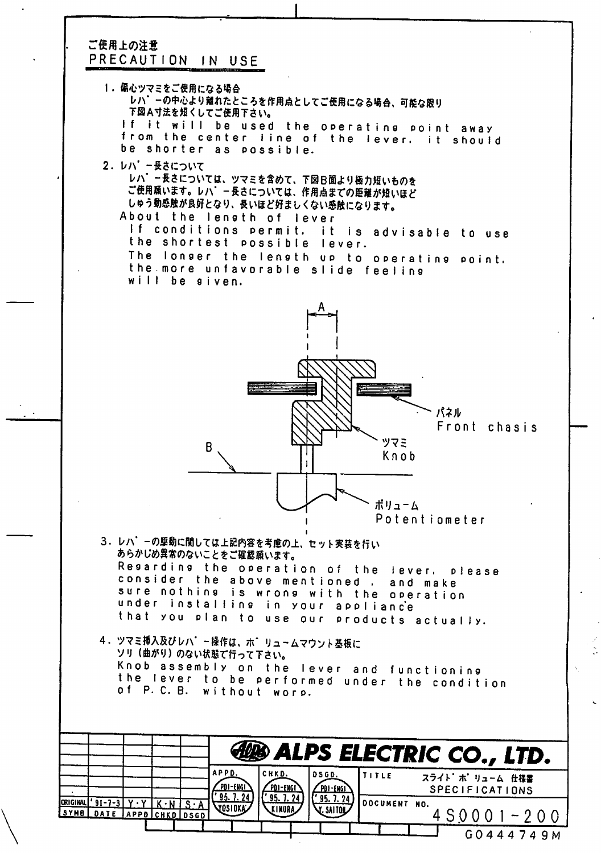### ご使用上の注意 PRECAUTION IN USE

1.偏心ツマミをご使用になる場合 レハ゛ーの中心より離れたところを作用点としてご使用になる場合、可能な限り 下図A寸法を短くしてご使用下さい。 If it will be used the operating point away from the center line of the lever. it should be shorter as possible.

2. レハ'ー長さについて レハ゛ー長さについては、ツマミを含めて、下図日面より極力短いものを ご使用願います。レハ'ー長さについては、作用点までの距離が短いほど しゅう動感触が良好となり、長いほど好ましくない感触になります。 About the lensth of lever If conditions Permit, it is advisable to use the shortest possible lever. The longer the length up to operating point, the more unfavorable slide feeling will be given.



- 3. レハ'ーの駆動に関しては上記内容を考慮の上、セット実装を行い あらかじめ異常のないことをご確認願います。 Resarding the operation of the lever. please consider the above mentioned , and make sure nothing is wrong with the operation under installing in your apol ianc'e that you Plan to use our products actually.
- 4. ツマミ挿入及びレハ゛ー操作は、ホ゛リュームマウント基板に ソリ(曲がり)のない状態で行って下さい。 Knob assembly on the lever and functioning the lever to be performed under the condition.<br>of P.C.B. without worp. of P. C. B. without

|                                              |  |                             |                          | <b>ED ALPS ELECTRIC CO., LTD.</b> |              |                      |  |                                          |  |
|----------------------------------------------|--|-----------------------------|--------------------------|-----------------------------------|--------------|----------------------|--|------------------------------------------|--|
|                                              |  | APPD.<br><u>[PDI-ENGI]</u>  | <b>CHKD.</b><br>PDI-ENGI | DSGD.<br>PDI-ENGI                 | <b>TITLE</b> |                      |  | スライト ホ リューム 仕様書<br><b>SPECIFICATIONS</b> |  |
| ORIGINAL '91-7-3<br>SYMB DATE APPO CHKD DSGD |  | 95. 7. 24<br><b>VOSIDKA</b> | ' 95.7.24<br>KINURA      | $'$ 95. 7. 24<br>V. SAITOR        |              | <b>IDOCUMENT NO.</b> |  | $450001 - 200$                           |  |
|                                              |  |                             |                          |                                   |              |                      |  |                                          |  |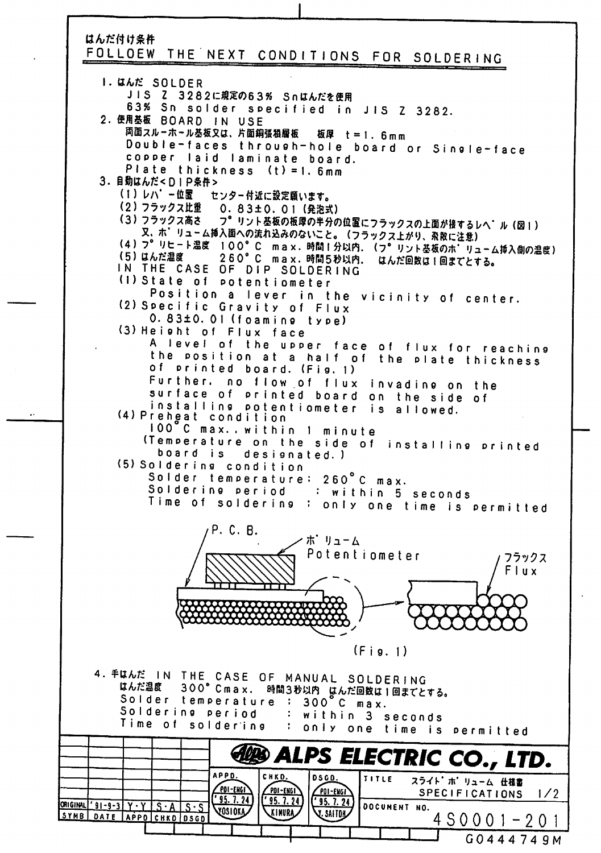### はんだ付け条件

## FOLLOEW THE NEXT CONDITIONS FOR SOLDERING

I. ULE SOLDER JIS Z 3282に規定の63% Snはんだを使用 63% Sn solder specified in JIS Z 3282. 2. 使用基板 BOARD IN USE 両面スルーホール基板又は、片面銅張積層板 板厚 t = 1.6mm Double-faces through-hole board or Single-face copper laid laminate board. Plate thickness (t) = 1.6mm 3.自動はんだ<DIP条件> (1) レハ'ー位置 センター付近に設定願います。 (2) フラックス比重 0.83±0.01 (発泡式) フ°リント基板の板厚の半分の位置にフラックスの上面が接するレヘ'ル (図1) (3) フラックス高さ 又、ホ'リューム挿入面への流れ込みのないこと。(フラックス上がり、飛散に注意) (4) フ° リヒート温度 100°C max. 時間1分以内. (フ° リント基板のホ'リューム挿入側の温度) 260°C max. 時間5秒以内. はんだ回数は1回までとする。 (5) はんだ温度 IN THE CASE OF DIP SOLDERING (1) State of potentiometer Position a lever in the vicinity of center. (2) Specific Gravity of Flux  $0.83\pm0.01$  (foaming type) (3) Height of Flux face A level of the upper face of flux for reaching<br>the position at a half of the plate thickness of printed board. (Fig. 1) Further, no flow of flux invadine on the surface of printed board on the side of installing potentiometer is allowed. (4) Preheat condition 100°C max..within 1 minute (Temperature on the side of installing printed board is designated.) (5) Soldering condition Solder temperature: 260°C max. Soldering period : within 5 seconds Time of soldering: only one time is permitted P. C. B. ポーリューム Potentiometer フラックス Flux  $(Fig. 1)$ 4. FULLE IN THE CASE OF MANUAL SOLDERING はんだ温度 300°Cmax. 時間3秒以内 はんだ回数は1回までとする。<br>はんだ温度 300°Cmax. 時間3秒以内 はんだ回数は1回までとする。<br>Solder temperature : 300°C max. Soldering period : within 3 seconds Time of soldering : only one time is permitted **EXPS ELECTRIC CO., LTD. APPD.** CHKD.  $DSGD.$ TITLE スライト ホ リューム 仕様書 POI-ENGI PDI-ENGI **POI-ENGI** SPECIFICATIONS  $1/2$  $'$  95. 7. 24  $'$ 95. 7.24  $1'$ 95. 7. 24 ORIGINAL '91-9-3 Y . Y S . A S . S DOCUMENT NO. VOSIOKA KINURA V. SAITOR SYMB DATE APPD CHKD DSGD  $4 S 0 0 1 - 2 0 1$ G0444749M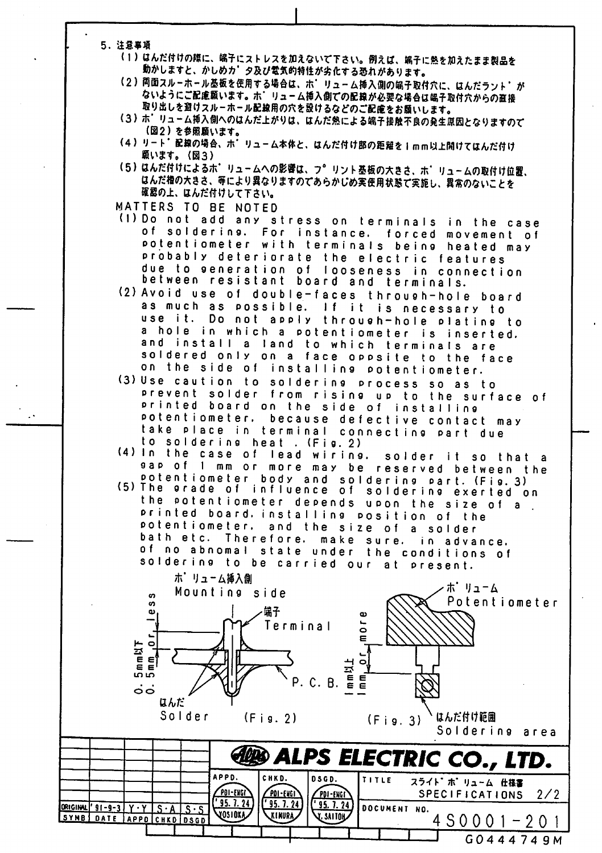- 5. 注意事項
	- (1) はんだ付けの際に、端子にストレスを加えないで下さい。例えば、端子に熱を加えたまま製品を 動かしますと、かしめカ'タ及び電気的特性が劣化する恐れがあります。
	- (2) 両面スルーホール基板を使用する場合は、ホ' リューム挿入側の端子取付穴に、はんだラント' が ないようにご配慮願います。ホーリューム挿入側での配線が必要な場合は端子取付穴からの直接 取り出しを避けスルーホール配線用の穴を設けるなどのご配慮をお願いします。
	- (3) ホ' リューム挿入側へのはんだ上がりは、はんだ熱による端子接触不良の発生原因となりますので (図2)を参照願います。
	- (4) リート 配線の場合、ホ リューム本体と、はんだ付け部の距離を1mm以上開けてはんだ付け 願います。(図3)
	- (5) はんだ付けによるホ' リュームへの影響は、フ° リント基板の大きさ、ホ' リュームの取付け位置、 はんだ櫓の大きさ、等により異なりますのであらかじめ実使用状態で実施し、異常のないことを 確認の上、はんだ付けして下さい。
	- MATTERS TO BE NOTED
	- (1) Do not add any stress on terminals in the case of soldering. For instance. forced movement of potentiometer with terminals being heated may probably deteriorate the electric features due to generation of looseness in connection between resistant board and terminals.
	- (2) Avoid use of double-faces through-hole board as much as possible. If it is necessary to use it. Do not apply through-hole plating to a hole in which a potentiometer is inserted. and install a land to which terminals are soldered only on a face oppsite to the face on the side of installing potentiometer.
	- (3) Use caution to soldering process so as to prevent solder from rising up to the surface of printed board on the side of installing potentiometer, because defective contact may take place in terminal connecting part due to soldering heat . (Fig. 2)
	- (4) In the case of lead wiring. solder it so that a gap of 1 mm or more may be reserved between the potentiometer body and soldering part. (Fig. 3) (5) The prade of influence of soldering exerted on the potentiometer depends upon the size of a. printed board installing position of the

potentiometer, and the size of a solder bath etc. Therefore. make sure. in advance. of no abnomal state under the conditions of soldering to be carried our at present.



G0444749M